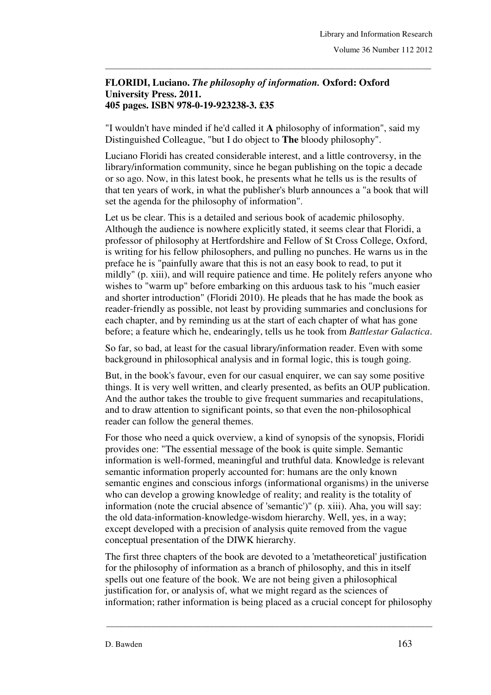## **FLORIDI, Luciano.** *The philosophy of information.* **Oxford: Oxford University Press. 2011. 405 pages. ISBN 978-0-19-923238-3. £35**

"I wouldn't have minded if he'd called it **A** philosophy of information", said my Distinguished Colleague, "but I do object to **The** bloody philosophy".

\_\_\_\_\_\_\_\_\_\_\_\_\_\_\_\_\_\_\_\_\_\_\_\_\_\_\_\_\_\_\_\_\_\_\_\_\_\_\_\_\_\_\_\_\_\_\_\_\_\_\_\_\_\_\_\_\_\_\_\_\_\_\_\_\_\_\_\_\_\_\_\_\_\_\_\_\_\_\_

Luciano Floridi has created considerable interest, and a little controversy, in the library/information community, since he began publishing on the topic a decade or so ago. Now, in this latest book, he presents what he tells us is the results of that ten years of work, in what the publisher's blurb announces a "a book that will set the agenda for the philosophy of information".

Let us be clear. This is a detailed and serious book of academic philosophy. Although the audience is nowhere explicitly stated, it seems clear that Floridi, a professor of philosophy at Hertfordshire and Fellow of St Cross College, Oxford, is writing for his fellow philosophers, and pulling no punches. He warns us in the preface he is "painfully aware that this is not an easy book to read, to put it mildly" (p. xiii), and will require patience and time. He politely refers anyone who wishes to "warm up" before embarking on this arduous task to his "much easier and shorter introduction" (Floridi 2010). He pleads that he has made the book as reader-friendly as possible, not least by providing summaries and conclusions for each chapter, and by reminding us at the start of each chapter of what has gone before; a feature which he, endearingly, tells us he took from *Battlestar Galactica*.

So far, so bad, at least for the casual library/information reader. Even with some background in philosophical analysis and in formal logic, this is tough going.

But, in the book's favour, even for our casual enquirer, we can say some positive things. It is very well written, and clearly presented, as befits an OUP publication. And the author takes the trouble to give frequent summaries and recapitulations, and to draw attention to significant points, so that even the non-philosophical reader can follow the general themes.

For those who need a quick overview, a kind of synopsis of the synopsis, Floridi provides one: "The essential message of the book is quite simple. Semantic information is well-formed, meaningful and truthful data. Knowledge is relevant semantic information properly accounted for: humans are the only known semantic engines and conscious inforgs (informational organisms) in the universe who can develop a growing knowledge of reality; and reality is the totality of information (note the crucial absence of 'semantic')" (p. xiii). Aha, you will say: the old data-information-knowledge-wisdom hierarchy. Well, yes, in a way; except developed with a precision of analysis quite removed from the vague conceptual presentation of the DIWK hierarchy.

The first three chapters of the book are devoted to a 'metatheoretical' justification for the philosophy of information as a branch of philosophy, and this in itself spells out one feature of the book. We are not being given a philosophical justification for, or analysis of, what we might regard as the sciences of information; rather information is being placed as a crucial concept for philosophy

\_\_\_\_\_\_\_\_\_\_\_\_\_\_\_\_\_\_\_\_\_\_\_\_\_\_\_\_\_\_\_\_\_\_\_\_\_\_\_\_\_\_\_\_\_\_\_\_\_\_\_\_\_\_\_\_\_\_\_\_\_\_\_\_\_\_\_\_\_\_\_\_\_\_\_\_\_\_\_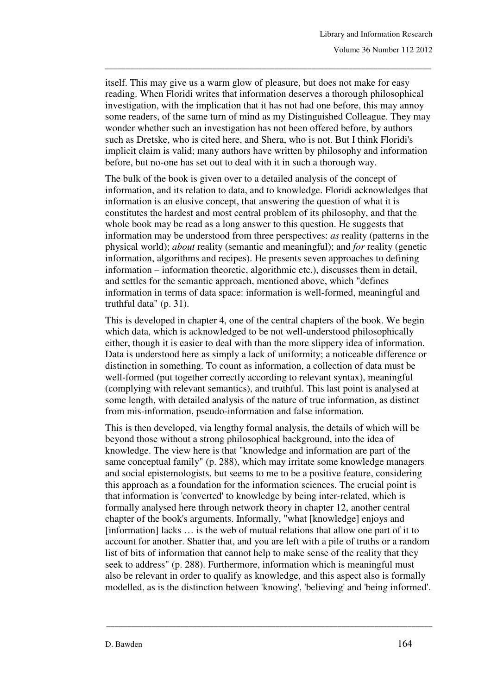itself. This may give us a warm glow of pleasure, but does not make for easy reading. When Floridi writes that information deserves a thorough philosophical investigation, with the implication that it has not had one before, this may annoy some readers, of the same turn of mind as my Distinguished Colleague. They may wonder whether such an investigation has not been offered before, by authors such as Dretske, who is cited here, and Shera, who is not. But I think Floridi's implicit claim is valid; many authors have written by philosophy and information before, but no-one has set out to deal with it in such a thorough way.

\_\_\_\_\_\_\_\_\_\_\_\_\_\_\_\_\_\_\_\_\_\_\_\_\_\_\_\_\_\_\_\_\_\_\_\_\_\_\_\_\_\_\_\_\_\_\_\_\_\_\_\_\_\_\_\_\_\_\_\_\_\_\_\_\_\_\_\_\_\_\_\_\_\_\_\_\_\_\_

The bulk of the book is given over to a detailed analysis of the concept of information, and its relation to data, and to knowledge. Floridi acknowledges that information is an elusive concept, that answering the question of what it is constitutes the hardest and most central problem of its philosophy, and that the whole book may be read as a long answer to this question. He suggests that information may be understood from three perspectives: *as* reality (patterns in the physical world); *about* reality (semantic and meaningful); and *for* reality (genetic information, algorithms and recipes). He presents seven approaches to defining information – information theoretic, algorithmic etc.), discusses them in detail, and settles for the semantic approach, mentioned above, which "defines information in terms of data space: information is well-formed, meaningful and truthful data" (p. 31).

This is developed in chapter 4, one of the central chapters of the book. We begin which data, which is acknowledged to be not well-understood philosophically either, though it is easier to deal with than the more slippery idea of information. Data is understood here as simply a lack of uniformity; a noticeable difference or distinction in something. To count as information, a collection of data must be well-formed (put together correctly according to relevant syntax), meaningful (complying with relevant semantics), and truthful. This last point is analysed at some length, with detailed analysis of the nature of true information, as distinct from mis-information, pseudo-information and false information.

This is then developed, via lengthy formal analysis, the details of which will be beyond those without a strong philosophical background, into the idea of knowledge. The view here is that "knowledge and information are part of the same conceptual family" (p. 288), which may irritate some knowledge managers and social epistemologists, but seems to me to be a positive feature, considering this approach as a foundation for the information sciences. The crucial point is that information is 'converted' to knowledge by being inter-related, which is formally analysed here through network theory in chapter 12, another central chapter of the book's arguments. Informally, "what [knowledge] enjoys and  $[information]$  lacks  $\ldots$  is the web of mutual relations that allow one part of it to account for another. Shatter that, and you are left with a pile of truths or a random list of bits of information that cannot help to make sense of the reality that they seek to address" (p. 288). Furthermore, information which is meaningful must also be relevant in order to qualify as knowledge, and this aspect also is formally modelled, as is the distinction between 'knowing', 'believing' and 'being informed'.

\_\_\_\_\_\_\_\_\_\_\_\_\_\_\_\_\_\_\_\_\_\_\_\_\_\_\_\_\_\_\_\_\_\_\_\_\_\_\_\_\_\_\_\_\_\_\_\_\_\_\_\_\_\_\_\_\_\_\_\_\_\_\_\_\_\_\_\_\_\_\_\_\_\_\_\_\_\_\_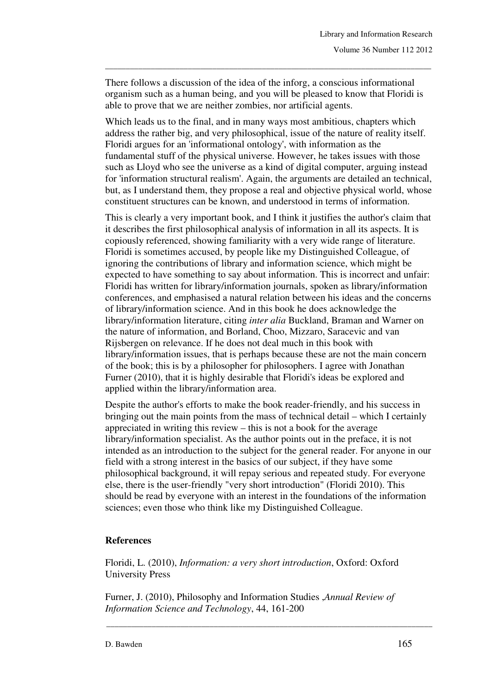There follows a discussion of the idea of the inforg, a conscious informational organism such as a human being, and you will be pleased to know that Floridi is able to prove that we are neither zombies, nor artificial agents.

\_\_\_\_\_\_\_\_\_\_\_\_\_\_\_\_\_\_\_\_\_\_\_\_\_\_\_\_\_\_\_\_\_\_\_\_\_\_\_\_\_\_\_\_\_\_\_\_\_\_\_\_\_\_\_\_\_\_\_\_\_\_\_\_\_\_\_\_\_\_\_\_\_\_\_\_\_\_\_

Which leads us to the final, and in many ways most ambitious, chapters which address the rather big, and very philosophical, issue of the nature of reality itself. Floridi argues for an 'informational ontology', with information as the fundamental stuff of the physical universe. However, he takes issues with those such as Lloyd who see the universe as a kind of digital computer, arguing instead for 'information structural realism'. Again, the arguments are detailed an technical, but, as I understand them, they propose a real and objective physical world, whose constituent structures can be known, and understood in terms of information.

This is clearly a very important book, and I think it justifies the author's claim that it describes the first philosophical analysis of information in all its aspects. It is copiously referenced, showing familiarity with a very wide range of literature. Floridi is sometimes accused, by people like my Distinguished Colleague, of ignoring the contributions of library and information science, which might be expected to have something to say about information. This is incorrect and unfair: Floridi has written for library/information journals, spoken as library/information conferences, and emphasised a natural relation between his ideas and the concerns of library/information science. And in this book he does acknowledge the library/information literature, citing *inter alia* Buckland, Braman and Warner on the nature of information, and Borland, Choo, Mizzaro, Saracevic and van Rijsbergen on relevance. If he does not deal much in this book with library/information issues, that is perhaps because these are not the main concern of the book; this is by a philosopher for philosophers. I agree with Jonathan Furner (2010), that it is highly desirable that Floridi's ideas be explored and applied within the library/information area.

Despite the author's efforts to make the book reader-friendly, and his success in bringing out the main points from the mass of technical detail – which I certainly appreciated in writing this review – this is not a book for the average library/information specialist. As the author points out in the preface, it is not intended as an introduction to the subject for the general reader. For anyone in our field with a strong interest in the basics of our subject, if they have some philosophical background, it will repay serious and repeated study. For everyone else, there is the user-friendly "very short introduction" (Floridi 2010). This should be read by everyone with an interest in the foundations of the information sciences; even those who think like my Distinguished Colleague.

## **References**

Floridi, L. (2010), *Information: a very short introduction*, Oxford: Oxford University Press

Furner, J. (2010), Philosophy and Information Studies ,*Annual Review of Information Science and Technology*, 44, 161-200

\_\_\_\_\_\_\_\_\_\_\_\_\_\_\_\_\_\_\_\_\_\_\_\_\_\_\_\_\_\_\_\_\_\_\_\_\_\_\_\_\_\_\_\_\_\_\_\_\_\_\_\_\_\_\_\_\_\_\_\_\_\_\_\_\_\_\_\_\_\_\_\_\_\_\_\_\_\_\_